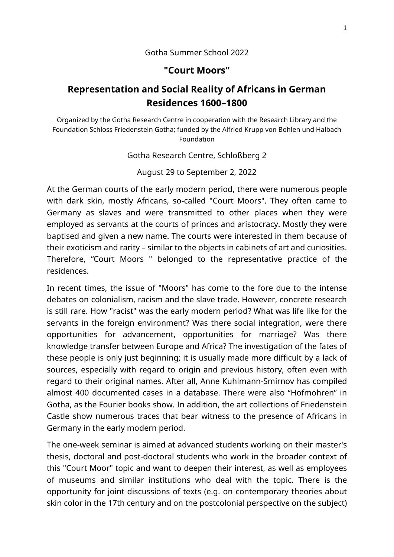### Gotha Summer School 2022

### **"Court Moors"**

# **Representation and Social Reality of Africans in German Residences 1600–1800**

Organized by the Gotha Research Centre in cooperation with the Research Library and the Foundation Schloss Friedenstein Gotha; funded by the Alfried Krupp von Bohlen und Halbach Foundation

Gotha Research Centre, Schloßberg 2

August 29 to September 2, 2022

At the German courts of the early modern period, there were numerous people with dark skin, mostly Africans, so-called "Court Moors". They often came to Germany as slaves and were transmitted to other places when they were employed as servants at the courts of princes and aristocracy. Mostly they were baptised and given a new name. The courts were interested in them because of their exoticism and rarity – similar to the objects in cabinets of art and curiosities. Therefore, "Court Moors " belonged to the representative practice of the residences.

In recent times, the issue of "Moors" has come to the fore due to the intense debates on colonialism, racism and the slave trade. However, concrete research is still rare. How "racist" was the early modern period? What was life like for the servants in the foreign environment? Was there social integration, were there opportunities for advancement, opportunities for marriage? Was there knowledge transfer between Europe and Africa? The investigation of the fates of these people is only just beginning; it is usually made more difficult by a lack of sources, especially with regard to origin and previous history, often even with regard to their original names. After all, Anne Kuhlmann-Smirnov has compiled almost 400 documented cases in a database. There were also "Hofmohren" in Gotha, as the Fourier books show. In addition, the art collections of Friedenstein Castle show numerous traces that bear witness to the presence of Africans in Germany in the early modern period.

The one-week seminar is aimed at advanced students working on their master's thesis, doctoral and post-doctoral students who work in the broader context of this "Court Moor" topic and want to deepen their interest, as well as employees of museums and similar institutions who deal with the topic. There is the opportunity for joint discussions of texts (e.g. on contemporary theories about skin color in the 17th century and on the postcolonial perspective on the subject)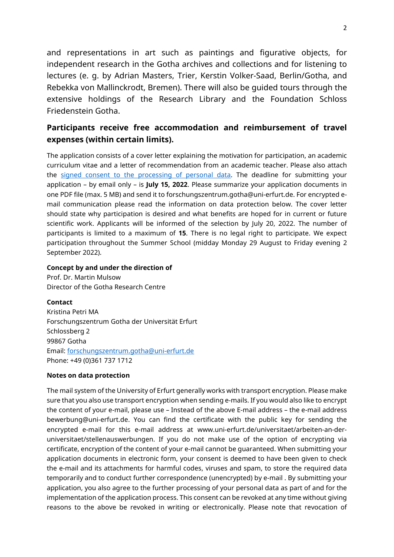and representations in art such as paintings and figurative objects, for independent research in the Gotha archives and collections and for listening to lectures (e. g. by Adrian Masters, Trier, Kerstin Volker-Saad, Berlin/Gotha, and Rebekka von Mallinckrodt, Bremen). There will also be guided tours through the extensive holdings of the Research Library and the Foundation Schloss Friedenstein Gotha.

## **Participants receive free accommodation and reimbursement of travel expenses (within certain limits).**

The application consists of a cover letter explaining the motivation for participation, an academic curriculum vitae and a letter of recommendation from an academic teacher. Please also attach the [signed consent to the processing of personal data.](https://www.uni-erfurt.de/fileadmin/einrichtung/forschungszentrum-gotha/Ausschreibungen/Einwilligung_Datenverarbeitung_Sommerschule_FZG.pdf) The deadline for submitting your application – by email only – is **July 15, 2022**. Please summarize your application documents in one PDF file (max. 5 MB) and send it to forschungszentrum.gotha@uni-erfurt.de. For encrypted email communication please read the information on data protection below. The cover letter should state why participation is desired and what benefits are hoped for in current or future scientific work. Applicants will be informed of the selection by July 20, 2022. The number of participants is limited to a maximum of **15**. There is no legal right to participate. We expect participation throughout the Summer School (midday Monday 29 August to Friday evening 2 September 2022).

#### **Concept by and under the direction of**

Prof. Dr. Martin Mulsow Director of the Gotha Research Centre

**Contact** Kristina Petri MA Forschungszentrum Gotha der Universität Erfurt Schlossberg 2 99867 Gotha Email: [forschungszentrum.gotha@uni-erfurt.de](mailto:forschungszentrum.gotha@uni-erfurt.de) Phone: +49 (0)361 737 1712

#### **Notes on data protection**

The mail system of the University of Erfurt generally works with transport encryption. Please make sure that you also use transport encryption when sending e-mails. If you would also like to encrypt the content of your e-mail, please use – Instead of the above E-mail address – the e-mail address bewerbung@uni-erfurt.de. You can find the certificate with the public key for sending the encrypted e-mail for this e-mail address at www.uni-erfurt.de/universitaet/arbeiten-an-deruniversitaet/stellenauswerbungen. If you do not make use of the option of encrypting via certificate, encryption of the content of your e-mail cannot be guaranteed. When submitting your application documents in electronic form, your consent is deemed to have been given to check the e-mail and its attachments for harmful codes, viruses and spam, to store the required data temporarily and to conduct further correspondence (unencrypted) by e-mail . By submitting your application, you also agree to the further processing of your personal data as part of and for the implementation of the application process. This consent can be revoked at any time without giving reasons to the above be revoked in writing or electronically. Please note that revocation of